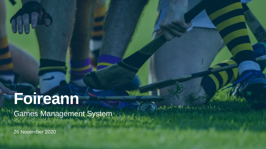26 November 2020



# **Foireann** Games Management System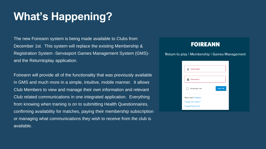The new Foireann system is being made available to Clubs from December 1st. This system will replace the existing Membership & Registration System -Servasport Games Management System (GMS) and the Returntoplay application.

Foireann will provide all of the functionality that was previously available in GMS and much more in a simple, intuitive, mobile manner. It allows Club Members to view and manage their own information and relevant Club related communications in one integrated application. Everything from knowing when training is on to submitting Health Questionnaires, confirming availability for matches, paying their membership subscription or managing what communications they wish to receive from the club is available.

### **FOIREANN**

#### Return to play | Membership | Games Management

| <b>Username</b>         |               |
|-------------------------|---------------|
|                         |               |
| Password                |               |
| Remember me             | <b>LOG IN</b> |
| New user? Register      |               |
| <b>Forgot Username?</b> |               |
| <b>Forgot Password?</b> |               |

# **What's Happening?**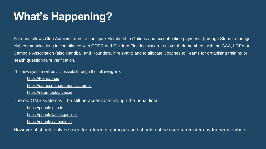Foireann allows Club Administrators to configure Membership Options and accept online payments (through Stripe), manage club communications in compliance with GDPR and Children First legislation, register their members with the GAA, LGFA or Camogie Association (also Handball and Rounders, if relevant) and to allocate Coaches to Teams for organising training or health questionnaire verification.

The new system will be accessible through the following links: [https://Foireann.ie](https://foireann.ie/) [https://gamesmanagementsystem.ie](https://gamesmanagementsystem.ie/) [https://returntoplay.gaa.ie](https://returntoplay.gaa.ie/) The old GMS system will be still be accessible through the usual links: [https://people.gaa.ie](https://people.gaa.ie/) [https://people.ladiesgaelic.ie](https://people.ladiesgaelic.ie/) [https://people.camogie.ie](https://people.camogie.ie/) However, it should only be used for reference purposes and should not be used to register any further members.

# **What's Happening?**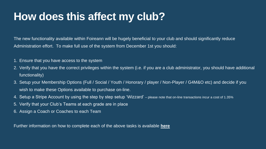The new functionality available within Foireann will be hugely beneficial to your club and should significantly reduce Administration effort. To make full use of the system from December 1st you should:

2. Verify that you have the correct privileges within the system (i.e. if you are a club administrator, you should have additional

3. Setup your Membership Options (Full / Social / Youth / Honorary / player / Non-Player / G4M&O etc) and decide if you

- 1. Ensure that you have access to the system
- functionality)
- wish to make these Options available to purchase on-line.
- 4. Setup a Stripe Account by using the step by step setup 'Wizzard' please note that on-line transactions incur a cost of 1.35%
- 5. Verify that your Club's Teams at each grade are in place
- 6. Assign a Coach or Coaches to each Team

Further information on how to complete each of the above tasks is available **[here](https://gmssupport.zendesk.com/hc/en-gb)**

# **How does this affect my club?**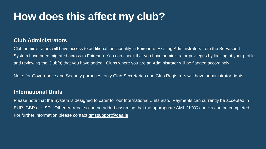### **Club Administrators**

Club administrators will have access to additional functionality in Foireann. Existing Administrators from the Servasport System have been migrated across to Foireann. You can check that you have administrator privileges by looking at your profile and reviewing the Club(s) that you have added. Clubs where you are an Administrator will be flagged accordingly.

Please note that the System is designed to cater for our International Units also. Payments can currently be accepted in EUR, GBP or USD. Other currencies can be added assuming that the appropriate AML / KYC checks can be completed. For further information please contact [gmssupport@gaa.ie](mailto:gmssupport@gaa.ie)

Note: for Governance and Security purposes, only Club Secretaries and Club Registrars will have administrator rights

#### **International Units**

# **How does this affect my club?**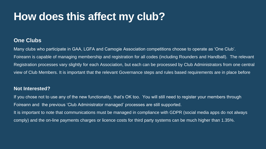### **One Clubs**

Many clubs who participate in GAA, LGFA and Camogie Association competitions choose to operate as 'One Club'. Foireann is capable of managing membership and registration for all codes (including Rounders and Handball). The relevant Registration processes vary slightly for each Association, but each can be processed by Club Administrators from one central view of Club Members. It is important that the relevant Governance steps and rules based requirements are in place before

#### **Not Interested?**

If you chose not to use any of the new functionality, that's OK too. You will still need to register your members through Foireann and the previous 'Club Administrator managed' processes are still supported. It is important to note that communications must be managed in compliance with GDPR (social media apps do not always comply) and the on-line payments charges or licence costs for third party systems can be much higher than 1.35%.

# **How does this affect my club?**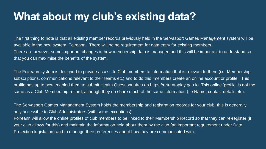The first thing to note is that all existing member records previously held in the Servasport Games Management system will be available in the new system, Foireann. There will be no requirement for data entry for existing members. There are however some important changes in how membership data is managed and this will be important to understand so that you can maximise the benefits of the system.

The Foireann system is designed to provide access to Club members to information that is relevant to them (i.e. Membership subscriptions, communications relevant to their teams etc) and to do this, members create an online account or profile. This profile has up to now enabled them to submit Health Questionnaires on [https://returntoplay.gaa.ie](https://returntoplay.gaa.ie/) This online 'profile' is not the same as a Club Membership record, although they do share much of the same information (i.e Name, contact details etc).

The Servasport Games Management System holds the membership and registration records for your club, this is generally only accessible to Club Administrators (with some exceptions). Foireann will allow the online profiles of club members to be linked to their Membership Record so that they can re-register (if your club allows for this) and maintain the information held about them by the club (an important requirement under Data Protection legislation) and to manage their preferences about how they are communicated with.







### **What about my club's existing data?**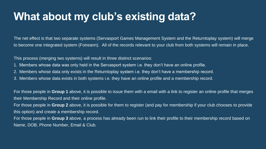## What about my club's existing data?

The net effect is that two separate systems (Servasport Games Management System and the Returntoplay system) will merge to become one integrated system (Foireann). All of the records relevant to your club from both systems will remain in place.

This process (merging two systems) will result in three distinct scenarios: 1. Members whose data was only held in the Servasport system i.e. they don't have an online profile. 2. Members whose data only exists in the Returntoplay system i.e. they don't have a membership record.

3. Members whose data exists in both systems i.e. they have an online profile and a membership record.

For those people in Group 1 above, it is possible to issue them with a email with a link to register an online profile that merges their Membership Record and their online profile. For those people in Group 2 above, it is possible for them to register (and pay for membership if your club chooses to provide this option) and create a membership record. For those people in Group 3 above, a process has already been run to link their profile to their membership record based on Name, DOB, Phone Number, Email & Club.

- 
- 

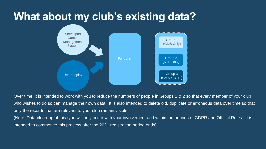## What about my club's existing data?



Over time, it is intended to work with you to reduce the numbers of people in Groups 1 & 2 so that every member of your club who wishes to do so can manage their own data. It is also intended to delete old, duplicate or erroneous data over time so that only the records that are relevant to your club remain visible. (Note: Data clean-up of this type will only occur with your involvement and within the bounds of GDPR and Official Rules. It is intended to commence this process after the 2021 registration period ends)

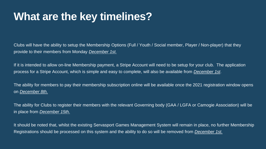Clubs will have the ability to setup the Membership Options (Full / Youth / Social member, Player / Non-player) that they provide to their members from Monday *December 1st.*

If it is intended to allow on-line Membership payment, a Stripe Account will need to be setup for your club. The application process for a Stripe Account, which is simple and easy to complete, will also be available from *December 1st*.

The ability for members to pay their membership subscription online will be available once the 2021 registration window opens on *December 8th.*

The ability for Clubs to register their members with the relevant Governing body (GAA / LGFA or Camogie Association) will be in place from *December 15th.*

It should be noted that, whilst the existing Servasport Games Management System will remain in place, no further Membership Registrations should be processed on this system and the ability to do so will be removed from *December 1st.*







### **What are the key timelines?**